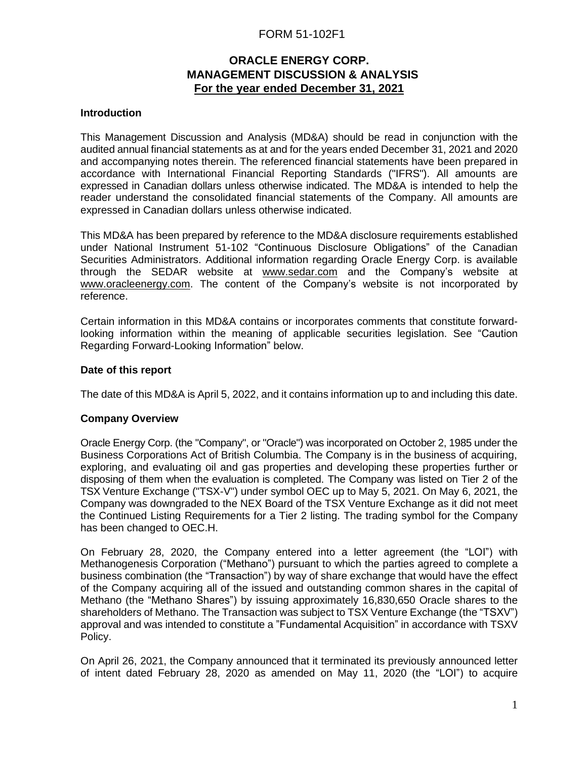# FORM 51-102F1

# **ORACLE ENERGY CORP. MANAGEMENT DISCUSSION & ANALYSIS For the year ended December 31, 2021**

## **Introduction**

This Management Discussion and Analysis (MD&A) should be read in conjunction with the audited annual financial statements as at and for the years ended December 31, 2021 and 2020 and accompanying notes therein. The referenced financial statements have been prepared in accordance with International Financial Reporting Standards ("IFRS"). All amounts are expressed in Canadian dollars unless otherwise indicated. The MD&A is intended to help the reader understand the consolidated financial statements of the Company. All amounts are expressed in Canadian dollars unless otherwise indicated.

This MD&A has been prepared by reference to the MD&A disclosure requirements established under National Instrument 51-102 "Continuous Disclosure Obligations" of the Canadian Securities Administrators. Additional information regarding Oracle Energy Corp. is available through the SEDAR website at [www.sedar.com](http://www.sedar.com/) and the Company's website at [www.oracleenergy.com.](http://www.oracleenergy.com/) The content of the Company's website is not incorporated by reference.

Certain information in this MD&A contains or incorporates comments that constitute forwardlooking information within the meaning of applicable securities legislation. See "Caution Regarding Forward-Looking Information" below.

## **Date of this report**

The date of this MD&A is April 5, 2022, and it contains information up to and including this date.

## **Company Overview**

Oracle Energy Corp. (the "Company", or "Oracle") was incorporated on October 2, 1985 under the Business Corporations Act of British Columbia. The Company is in the business of acquiring, exploring, and evaluating oil and gas properties and developing these properties further or disposing of them when the evaluation is completed. The Company was listed on Tier 2 of the TSX Venture Exchange ("TSX-V") under symbol OEC up to May 5, 2021. On May 6, 2021, the Company was downgraded to the NEX Board of the TSX Venture Exchange as it did not meet the Continued Listing Requirements for a Tier 2 listing. The trading symbol for the Company has been changed to OEC.H.

On February 28, 2020, the Company entered into a letter agreement (the "LOI") with Methanogenesis Corporation ("Methano") pursuant to which the parties agreed to complete a business combination (the "Transaction") by way of share exchange that would have the effect of the Company acquiring all of the issued and outstanding common shares in the capital of Methano (the "Methano Shares") by issuing approximately 16,830,650 Oracle shares to the shareholders of Methano. The Transaction was subject to TSX Venture Exchange (the "TSXV") approval and was intended to constitute a "Fundamental Acquisition" in accordance with TSXV Policy.

On April 26, 2021, the Company announced that it terminated its previously announced letter of intent dated February 28, 2020 as amended on May 11, 2020 (the "LOI") to acquire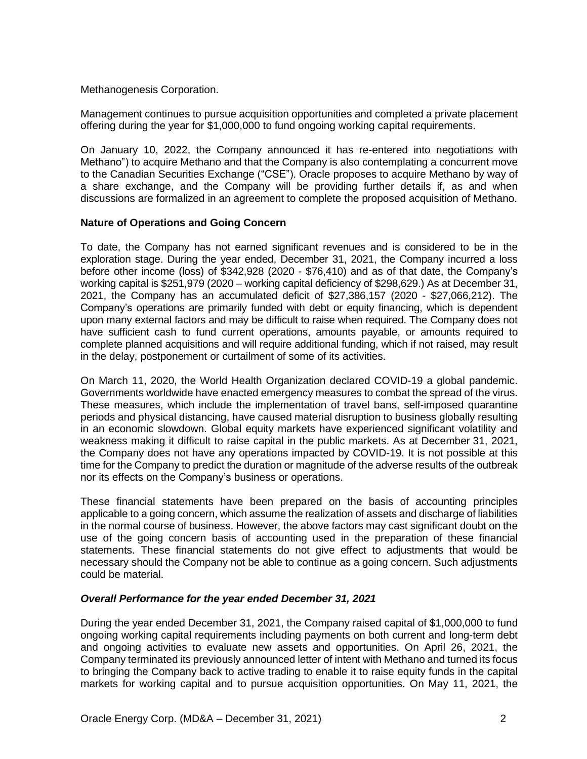Methanogenesis Corporation.

Management continues to pursue acquisition opportunities and completed a private placement offering during the year for \$1,000,000 to fund ongoing working capital requirements.

On January 10, 2022, the Company announced it has re-entered into negotiations with Methano") to acquire Methano and that the Company is also contemplating a concurrent move to the Canadian Securities Exchange ("CSE"). Oracle proposes to acquire Methano by way of a share exchange, and the Company will be providing further details if, as and when discussions are formalized in an agreement to complete the proposed acquisition of Methano.

## **Nature of Operations and Going Concern**

To date, the Company has not earned significant revenues and is considered to be in the exploration stage. During the year ended, December 31, 2021, the Company incurred a loss before other income (loss) of \$342,928 (2020 - \$76,410) and as of that date, the Company's working capital is \$251,979 (2020 – working capital deficiency of \$298,629.) As at December 31, 2021, the Company has an accumulated deficit of \$27,386,157 (2020 - \$27,066,212). The Company's operations are primarily funded with debt or equity financing, which is dependent upon many external factors and may be difficult to raise when required. The Company does not have sufficient cash to fund current operations, amounts payable, or amounts required to complete planned acquisitions and will require additional funding, which if not raised, may result in the delay, postponement or curtailment of some of its activities.

On March 11, 2020, the World Health Organization declared COVID-19 a global pandemic. Governments worldwide have enacted emergency measures to combat the spread of the virus. These measures, which include the implementation of travel bans, self-imposed quarantine periods and physical distancing, have caused material disruption to business globally resulting in an economic slowdown. Global equity markets have experienced significant volatility and weakness making it difficult to raise capital in the public markets. As at December 31, 2021, the Company does not have any operations impacted by COVID-19. It is not possible at this time for the Company to predict the duration or magnitude of the adverse results of the outbreak nor its effects on the Company's business or operations.

These financial statements have been prepared on the basis of accounting principles applicable to a going concern, which assume the realization of assets and discharge of liabilities in the normal course of business. However, the above factors may cast significant doubt on the use of the going concern basis of accounting used in the preparation of these financial statements. These financial statements do not give effect to adjustments that would be necessary should the Company not be able to continue as a going concern. Such adjustments could be material.

# *Overall Performance for the year ended December 31, 2021*

During the year ended December 31, 2021, the Company raised capital of \$1,000,000 to fund ongoing working capital requirements including payments on both current and long-term debt and ongoing activities to evaluate new assets and opportunities. On April 26, 2021, the Company terminated its previously announced letter of intent with Methano and turned its focus to bringing the Company back to active trading to enable it to raise equity funds in the capital markets for working capital and to pursue acquisition opportunities. On May 11, 2021, the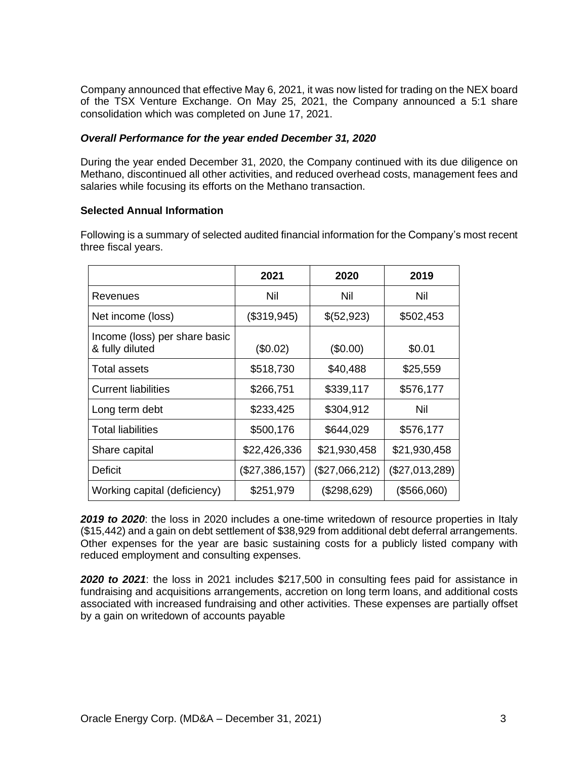Company announced that effective May 6, 2021, it was now listed for trading on the NEX board of the TSX Venture Exchange. On May 25, 2021, the Company announced a 5:1 share consolidation which was completed on June 17, 2021.

## *Overall Performance for the year ended December 31, 2020*

During the year ended December 31, 2020, the Company continued with its due diligence on Methano, discontinued all other activities, and reduced overhead costs, management fees and salaries while focusing its efforts on the Methano transaction.

## **Selected Annual Information**

Following is a summary of selected audited financial information for the Company's most recent three fiscal years.

|                                                  | 2021           | 2020           | 2019           |
|--------------------------------------------------|----------------|----------------|----------------|
| Revenues                                         | Nil            | Nil            | Nil            |
| Net income (loss)                                | (\$319,945)    | \$(52,923)     | \$502,453      |
| Income (loss) per share basic<br>& fully diluted | (\$0.02)       | $(\$0.00)$     | \$0.01         |
| Total assets                                     | \$518,730      | \$40,488       | \$25,559       |
| <b>Current liabilities</b>                       | \$266,751      | \$339,117      | \$576,177      |
| Long term debt                                   | \$233,425      | \$304,912      | Nil            |
| <b>Total liabilities</b>                         | \$500,176      | \$644,029      | \$576,177      |
| Share capital                                    | \$22,426,336   | \$21,930,458   | \$21,930,458   |
| Deficit                                          | (\$27,386,157) | (\$27,066,212) | (\$27,013,289) |
| Working capital (deficiency)                     | \$251,979      | (\$298,629)    | (\$566,060)    |

*2019 to 2020*: the loss in 2020 includes a one-time writedown of resource properties in Italy (\$15,442) and a gain on debt settlement of \$38,929 from additional debt deferral arrangements. Other expenses for the year are basic sustaining costs for a publicly listed company with reduced employment and consulting expenses.

*2020 to 2021*: the loss in 2021 includes \$217,500 in consulting fees paid for assistance in fundraising and acquisitions arrangements, accretion on long term loans, and additional costs associated with increased fundraising and other activities. These expenses are partially offset by a gain on writedown of accounts payable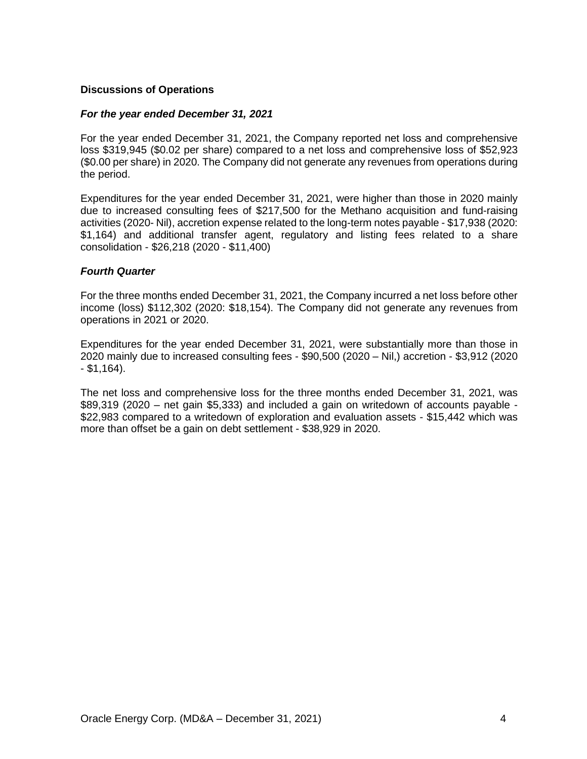## **Discussions of Operations**

## *For the year ended December 31, 2021*

For the year ended December 31, 2021, the Company reported net loss and comprehensive loss \$319,945 (\$0.02 per share) compared to a net loss and comprehensive loss of \$52,923 (\$0.00 per share) in 2020. The Company did not generate any revenues from operations during the period.

Expenditures for the year ended December 31, 2021, were higher than those in 2020 mainly due to increased consulting fees of \$217,500 for the Methano acquisition and fund-raising activities (2020- Nil), accretion expense related to the long-term notes payable - \$17,938 (2020: \$1,164) and additional transfer agent, regulatory and listing fees related to a share consolidation - \$26,218 (2020 - \$11,400)

#### *Fourth Quarter*

For the three months ended December 31, 2021, the Company incurred a net loss before other income (loss) \$112,302 (2020: \$18,154). The Company did not generate any revenues from operations in 2021 or 2020.

Expenditures for the year ended December 31, 2021, were substantially more than those in 2020 mainly due to increased consulting fees - \$90,500 (2020 – Nil,) accretion - \$3,912 (2020  $-$  \$1,164).

The net loss and comprehensive loss for the three months ended December 31, 2021, was \$89,319 (2020 – net gain \$5,333) and included a gain on writedown of accounts payable - \$22,983 compared to a writedown of exploration and evaluation assets - \$15,442 which was more than offset be a gain on debt settlement - \$38,929 in 2020.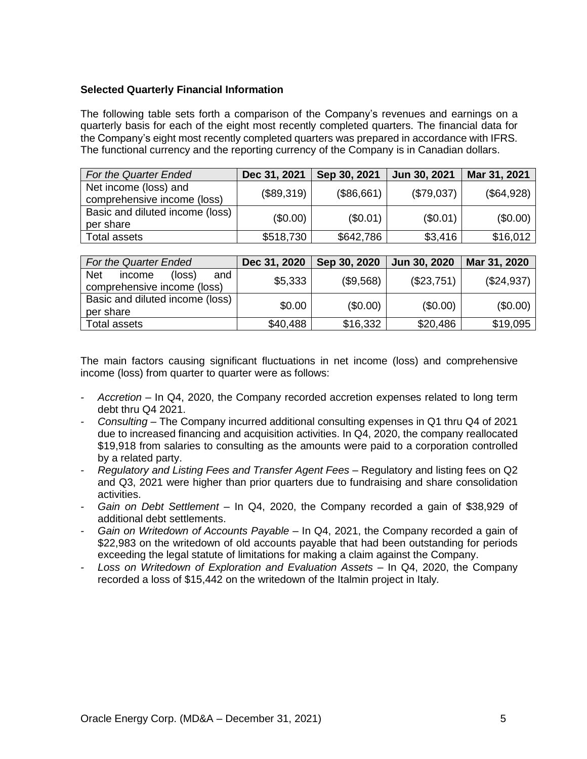# **Selected Quarterly Financial Information**

The following table sets forth a comparison of the Company's revenues and earnings on a quarterly basis for each of the eight most recently completed quarters. The financial data for the Company's eight most recently completed quarters was prepared in accordance with IFRS. The functional currency and the reporting currency of the Company is in Canadian dollars.

| For the Quarter Ended                                | Dec 31, 2021 | Sep 30, 2021 | Jun 30, 2021 | Mar 31, 2021 |
|------------------------------------------------------|--------------|--------------|--------------|--------------|
| Net income (loss) and<br>comprehensive income (loss) | (\$89,319)   | (\$86,661)   | (\$79,037)   | (\$64,928)   |
| Basic and diluted income (loss)<br>per share         | (\$0.00)     | (\$0.01)     | (\$0.01)     | (\$0.00)     |
| Total assets                                         | \$518,730    | \$642,786    | \$3,416      | \$16,012     |

| <b>For the Quarter Ended</b>                                                  | Dec 31, 2020 | Sep 30, 2020 | Jun 30, 2020 | Mar 31, 2020 |
|-------------------------------------------------------------------------------|--------------|--------------|--------------|--------------|
| <b>Net</b><br>and<br>$(\text{loss})$<br>income<br>comprehensive income (loss) | \$5,333      | (\$9,568)    | (\$23,751)   | (\$24,937)   |
| Basic and diluted income (loss)<br>per share                                  | \$0.00       | (\$0.00)     | (\$0.00)     | (\$0.00)     |
| Total assets                                                                  | \$40,488     | \$16,332     | \$20,486     | \$19,095     |

The main factors causing significant fluctuations in net income (loss) and comprehensive income (loss) from quarter to quarter were as follows:

- *- Accretion* In Q4, 2020, the Company recorded accretion expenses related to long term debt thru Q4 2021.
- *- Consulting* The Company incurred additional consulting expenses in Q1 thru Q4 of 2021 due to increased financing and acquisition activities. In Q4, 2020, the company reallocated \$19,918 from salaries to consulting as the amounts were paid to a corporation controlled by a related party.
- *- Regulatory and Listing Fees and Transfer Agent Fees* Regulatory and listing fees on Q2 and Q3, 2021 were higher than prior quarters due to fundraising and share consolidation activities.
- *- Gain on Debt Settlement* In Q4, 2020, the Company recorded a gain of \$38,929 of additional debt settlements.
- *- Gain on Writedown of Accounts Payable* In Q4, 2021, the Company recorded a gain of \$22,983 on the writedown of old accounts payable that had been outstanding for periods exceeding the legal statute of limitations for making a claim against the Company.
- *- Loss on Writedown of Exploration and Evaluation Assets –* In Q4, 2020, the Company recorded a loss of \$15,442 on the writedown of the Italmin project in Italy*.*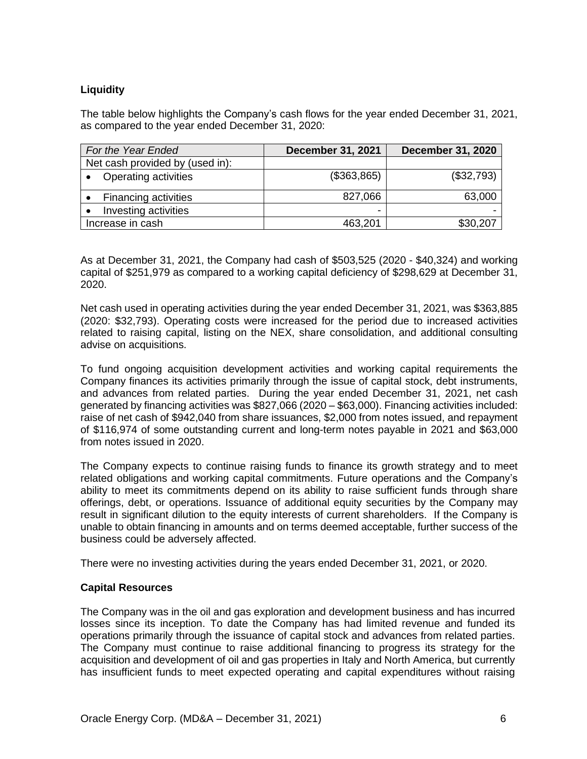# **Liquidity**

The table below highlights the Company's cash flows for the year ended December 31, 2021, as compared to the year ended December 31, 2020:

| For the Year Ended              | <b>December 31, 2021</b> | <b>December 31, 2020</b> |
|---------------------------------|--------------------------|--------------------------|
| Net cash provided by (used in): |                          |                          |
| <b>Operating activities</b>     | (\$363,865)              | (\$32,793)               |
| <b>Financing activities</b>     | 827,066                  | 63,000                   |
| Investing activities            | -                        |                          |
| Increase in cash                | 463,201                  | \$30,207                 |

As at December 31, 2021, the Company had cash of \$503,525 (2020 - \$40,324) and working capital of \$251,979 as compared to a working capital deficiency of \$298,629 at December 31, 2020.

Net cash used in operating activities during the year ended December 31, 2021, was \$363,885 (2020: \$32,793). Operating costs were increased for the period due to increased activities related to raising capital, listing on the NEX, share consolidation, and additional consulting advise on acquisitions.

To fund ongoing acquisition development activities and working capital requirements the Company finances its activities primarily through the issue of capital stock, debt instruments, and advances from related parties. During the year ended December 31, 2021, net cash generated by financing activities was \$827,066 (2020 – \$63,000). Financing activities included: raise of net cash of \$942,040 from share issuances, \$2,000 from notes issued, and repayment of \$116,974 of some outstanding current and long-term notes payable in 2021 and \$63,000 from notes issued in 2020.

The Company expects to continue raising funds to finance its growth strategy and to meet related obligations and working capital commitments. Future operations and the Company's ability to meet its commitments depend on its ability to raise sufficient funds through share offerings, debt, or operations. Issuance of additional equity securities by the Company may result in significant dilution to the equity interests of current shareholders. If the Company is unable to obtain financing in amounts and on terms deemed acceptable, further success of the business could be adversely affected.

There were no investing activities during the years ended December 31, 2021, or 2020.

# **Capital Resources**

The Company was in the oil and gas exploration and development business and has incurred losses since its inception. To date the Company has had limited revenue and funded its operations primarily through the issuance of capital stock and advances from related parties. The Company must continue to raise additional financing to progress its strategy for the acquisition and development of oil and gas properties in Italy and North America, but currently has insufficient funds to meet expected operating and capital expenditures without raising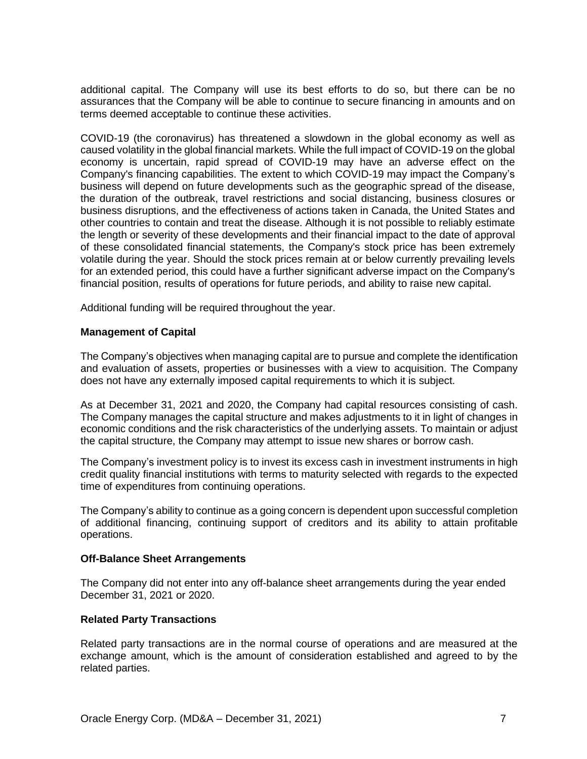additional capital. The Company will use its best efforts to do so, but there can be no assurances that the Company will be able to continue to secure financing in amounts and on terms deemed acceptable to continue these activities.

COVID-19 (the coronavirus) has threatened a slowdown in the global economy as well as caused volatility in the global financial markets. While the full impact of COVID-19 on the global economy is uncertain, rapid spread of COVID-19 may have an adverse effect on the Company's financing capabilities. The extent to which COVID-19 may impact the Company's business will depend on future developments such as the geographic spread of the disease, the duration of the outbreak, travel restrictions and social distancing, business closures or business disruptions, and the effectiveness of actions taken in Canada, the United States and other countries to contain and treat the disease. Although it is not possible to reliably estimate the length or severity of these developments and their financial impact to the date of approval of these consolidated financial statements, the Company's stock price has been extremely volatile during the year. Should the stock prices remain at or below currently prevailing levels for an extended period, this could have a further significant adverse impact on the Company's financial position, results of operations for future periods, and ability to raise new capital.

Additional funding will be required throughout the year.

# **Management of Capital**

The Company's objectives when managing capital are to pursue and complete the identification and evaluation of assets, properties or businesses with a view to acquisition. The Company does not have any externally imposed capital requirements to which it is subject.

As at December 31, 2021 and 2020, the Company had capital resources consisting of cash. The Company manages the capital structure and makes adjustments to it in light of changes in economic conditions and the risk characteristics of the underlying assets. To maintain or adjust the capital structure, the Company may attempt to issue new shares or borrow cash.

The Company's investment policy is to invest its excess cash in investment instruments in high credit quality financial institutions with terms to maturity selected with regards to the expected time of expenditures from continuing operations.

The Company's ability to continue as a going concern is dependent upon successful completion of additional financing, continuing support of creditors and its ability to attain profitable operations.

## **Off-Balance Sheet Arrangements**

The Company did not enter into any off-balance sheet arrangements during the year ended December 31, 2021 or 2020.

# **Related Party Transactions**

Related party transactions are in the normal course of operations and are measured at the exchange amount, which is the amount of consideration established and agreed to by the related parties.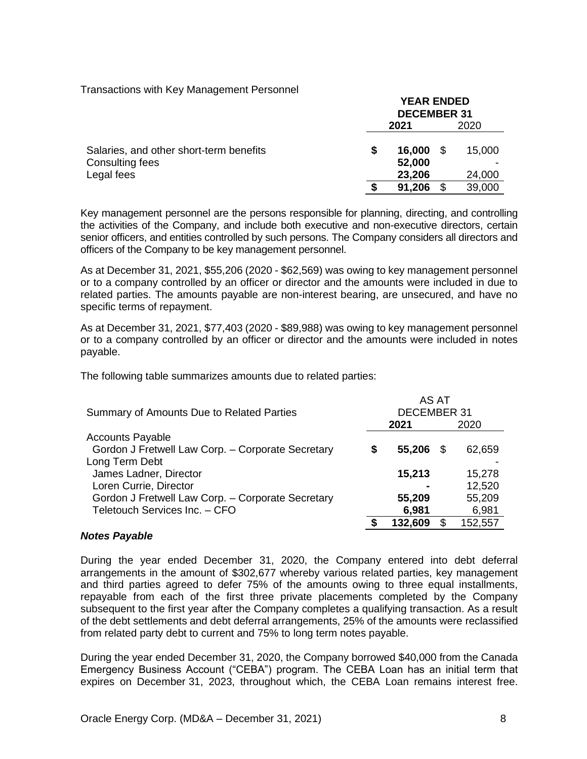## Transactions with Key Management Personnel

|                                         | <b>YEAK ENDED</b><br><b>DECEMBER 31</b> |                  |      |        |
|-----------------------------------------|-----------------------------------------|------------------|------|--------|
|                                         | 2021                                    |                  | 2020 |        |
| Salaries, and other short-term benefits |                                         | 16,000           |      | 15,000 |
| Consulting fees<br>Legal fees           |                                         | 52,000<br>23,206 |      | 24,000 |
|                                         |                                         | 91,206           |      | 39,000 |

**YEAR ENDED**

Key management personnel are the persons responsible for planning, directing, and controlling the activities of the Company, and include both executive and non-executive directors, certain senior officers, and entities controlled by such persons. The Company considers all directors and officers of the Company to be key management personnel.

As at December 31, 2021, \$55,206 (2020 - \$62,569) was owing to key management personnel or to a company controlled by an officer or director and the amounts were included in due to related parties. The amounts payable are non-interest bearing, are unsecured, and have no specific terms of repayment.

As at December 31, 2021, \$77,403 (2020 - \$89,988) was owing to key management personnel or to a company controlled by an officer or director and the amounts were included in notes payable.

The following table summarizes amounts due to related parties:

| Summary of Amounts Due to Related Parties         |  | AS AT<br><b>DECEMBER 31</b> |  |         |  |
|---------------------------------------------------|--|-----------------------------|--|---------|--|
|                                                   |  | 2021                        |  | 2020    |  |
| <b>Accounts Payable</b>                           |  |                             |  |         |  |
| Gordon J Fretwell Law Corp. - Corporate Secretary |  | 55,206                      |  | 62,659  |  |
| Long Term Debt                                    |  |                             |  |         |  |
| James Ladner, Director                            |  | 15,213                      |  | 15,278  |  |
| Loren Currie, Director                            |  |                             |  | 12,520  |  |
| Gordon J Fretwell Law Corp. - Corporate Secretary |  | 55,209                      |  | 55,209  |  |
| Teletouch Services Inc. - CFO                     |  | 6,981                       |  | 6,981   |  |
|                                                   |  | 132,609                     |  | 152,557 |  |

# *Notes Payable*

During the year ended December 31, 2020, the Company entered into debt deferral arrangements in the amount of \$302,677 whereby various related parties, key management and third parties agreed to defer 75% of the amounts owing to three equal installments, repayable from each of the first three private placements completed by the Company subsequent to the first year after the Company completes a qualifying transaction. As a result of the debt settlements and debt deferral arrangements, 25% of the amounts were reclassified from related party debt to current and 75% to long term notes payable.

During the year ended December 31, 2020, the Company borrowed \$40,000 from the Canada Emergency Business Account ("CEBA") program. The CEBA Loan has an initial term that expires on December 31, 2023, throughout which, the CEBA Loan remains interest free.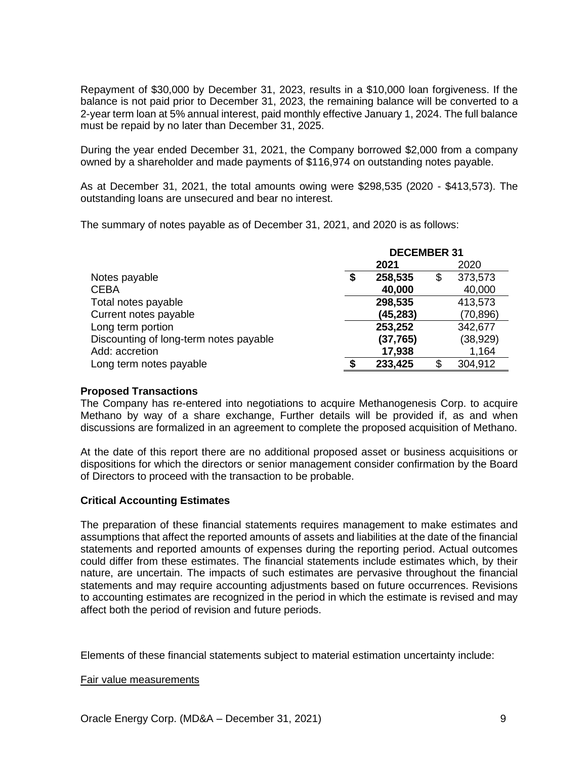Repayment of \$30,000 by December 31, 2023, results in a \$10,000 loan forgiveness. If the balance is not paid prior to December 31, 2023, the remaining balance will be converted to a 2-year term loan at 5% annual interest, paid monthly effective January 1, 2024. The full balance must be repaid by no later than December 31, 2025.

During the year ended December 31, 2021, the Company borrowed \$2,000 from a company owned by a shareholder and made payments of \$116,974 on outstanding notes payable.

As at December 31, 2021, the total amounts owing were \$298,535 (2020 - \$413,573). The outstanding loans are unsecured and bear no interest.

The summary of notes payable as of December 31, 2021, and 2020 is as follows:

|                                        | <b>DECEMBER 31</b> |           |    |           |
|----------------------------------------|--------------------|-----------|----|-----------|
|                                        | 2021<br>2020       |           |    |           |
| Notes payable                          | S                  | 258,535   | \$ | 373,573   |
| <b>CEBA</b>                            |                    | 40,000    |    | 40,000    |
| Total notes payable                    |                    | 298,535   |    | 413,573   |
| Current notes payable                  |                    | (45, 283) |    | (70, 896) |
| Long term portion                      |                    | 253,252   |    | 342,677   |
| Discounting of long-term notes payable |                    | (37, 765) |    | (38, 929) |
| Add: accretion                         |                    | 17,938    |    | 1,164     |
| Long term notes payable                |                    | 233,425   | S  | 304,912   |

## **Proposed Transactions**

The Company has re-entered into negotiations to acquire Methanogenesis Corp. to acquire Methano by way of a share exchange, Further details will be provided if, as and when discussions are formalized in an agreement to complete the proposed acquisition of Methano.

At the date of this report there are no additional proposed asset or business acquisitions or dispositions for which the directors or senior management consider confirmation by the Board of Directors to proceed with the transaction to be probable.

## **Critical Accounting Estimates**

The preparation of these financial statements requires management to make estimates and assumptions that affect the reported amounts of assets and liabilities at the date of the financial statements and reported amounts of expenses during the reporting period. Actual outcomes could differ from these estimates. The financial statements include estimates which, by their nature, are uncertain. The impacts of such estimates are pervasive throughout the financial statements and may require accounting adjustments based on future occurrences. Revisions to accounting estimates are recognized in the period in which the estimate is revised and may affect both the period of revision and future periods.

Elements of these financial statements subject to material estimation uncertainty include:

## Fair value measurements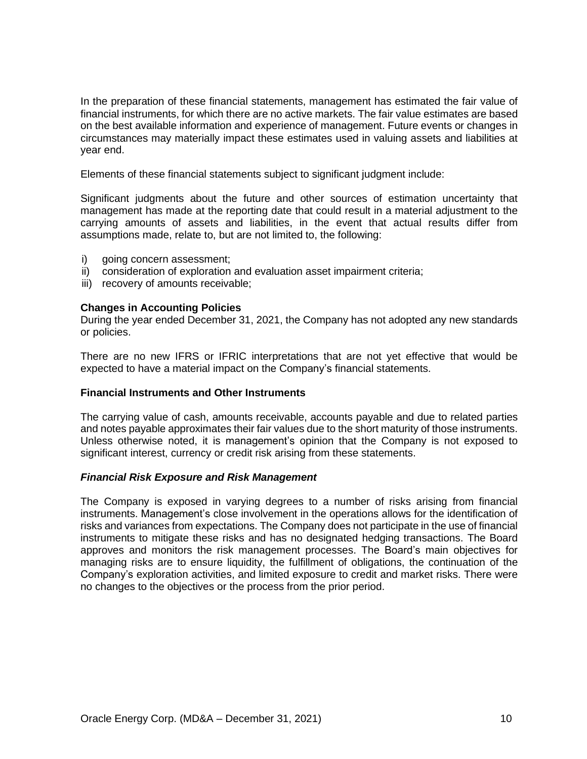In the preparation of these financial statements, management has estimated the fair value of financial instruments, for which there are no active markets. The fair value estimates are based on the best available information and experience of management. Future events or changes in circumstances may materially impact these estimates used in valuing assets and liabilities at year end.

Elements of these financial statements subject to significant judgment include:

Significant judgments about the future and other sources of estimation uncertainty that management has made at the reporting date that could result in a material adjustment to the carrying amounts of assets and liabilities, in the event that actual results differ from assumptions made, relate to, but are not limited to, the following:

- i) going concern assessment:
- ii) consideration of exploration and evaluation asset impairment criteria;
- iii) recovery of amounts receivable;

#### **Changes in Accounting Policies**

During the year ended December 31, 2021, the Company has not adopted any new standards or policies.

There are no new IFRS or IFRIC interpretations that are not yet effective that would be expected to have a material impact on the Company's financial statements.

## **Financial Instruments and Other Instruments**

The carrying value of cash, amounts receivable, accounts payable and due to related parties and notes payable approximates their fair values due to the short maturity of those instruments. Unless otherwise noted, it is management's opinion that the Company is not exposed to significant interest, currency or credit risk arising from these statements.

## *Financial Risk Exposure and Risk Management*

The Company is exposed in varying degrees to a number of risks arising from financial instruments. Management's close involvement in the operations allows for the identification of risks and variances from expectations. The Company does not participate in the use of financial instruments to mitigate these risks and has no designated hedging transactions. The Board approves and monitors the risk management processes. The Board's main objectives for managing risks are to ensure liquidity, the fulfillment of obligations, the continuation of the Company's exploration activities, and limited exposure to credit and market risks. There were no changes to the objectives or the process from the prior period.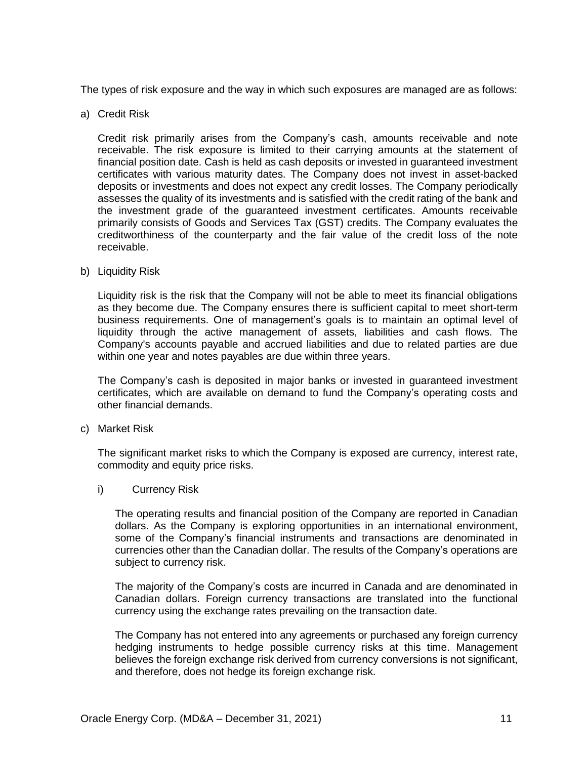The types of risk exposure and the way in which such exposures are managed are as follows:

a) Credit Risk

Credit risk primarily arises from the Company's cash, amounts receivable and note receivable. The risk exposure is limited to their carrying amounts at the statement of financial position date. Cash is held as cash deposits or invested in guaranteed investment certificates with various maturity dates. The Company does not invest in asset-backed deposits or investments and does not expect any credit losses. The Company periodically assesses the quality of its investments and is satisfied with the credit rating of the bank and the investment grade of the guaranteed investment certificates. Amounts receivable primarily consists of Goods and Services Tax (GST) credits. The Company evaluates the creditworthiness of the counterparty and the fair value of the credit loss of the note receivable.

b) Liquidity Risk

Liquidity risk is the risk that the Company will not be able to meet its financial obligations as they become due. The Company ensures there is sufficient capital to meet short-term business requirements. One of management's goals is to maintain an optimal level of liquidity through the active management of assets, liabilities and cash flows. The Company's accounts payable and accrued liabilities and due to related parties are due within one year and notes payables are due within three years.

The Company's cash is deposited in major banks or invested in guaranteed investment certificates, which are available on demand to fund the Company's operating costs and other financial demands.

c) Market Risk

The significant market risks to which the Company is exposed are currency, interest rate, commodity and equity price risks.

i) Currency Risk

The operating results and financial position of the Company are reported in Canadian dollars. As the Company is exploring opportunities in an international environment, some of the Company's financial instruments and transactions are denominated in currencies other than the Canadian dollar. The results of the Company's operations are subject to currency risk.

The majority of the Company's costs are incurred in Canada and are denominated in Canadian dollars. Foreign currency transactions are translated into the functional currency using the exchange rates prevailing on the transaction date.

The Company has not entered into any agreements or purchased any foreign currency hedging instruments to hedge possible currency risks at this time. Management believes the foreign exchange risk derived from currency conversions is not significant, and therefore, does not hedge its foreign exchange risk.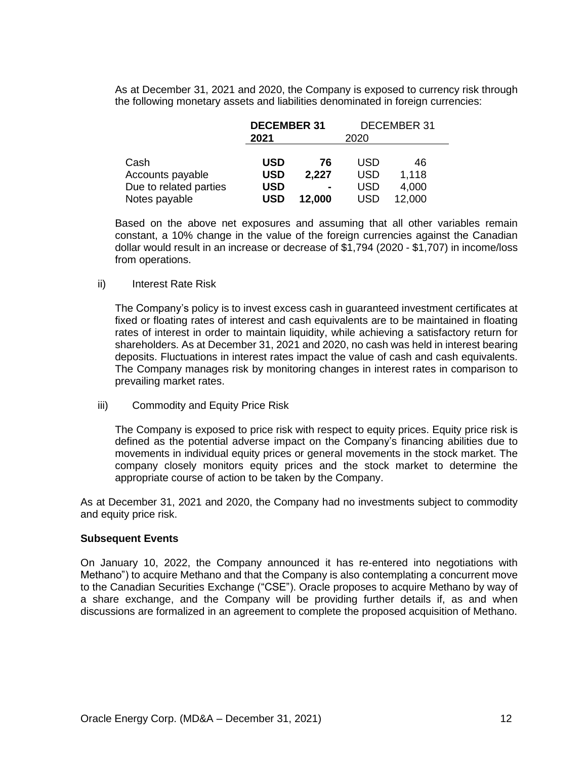As at December 31, 2021 and 2020, the Company is exposed to currency risk through the following monetary assets and liabilities denominated in foreign currencies:

|                        | <b>DECEMBER 31</b> |                |            | DECEMBER 31 |
|------------------------|--------------------|----------------|------------|-------------|
|                        | 2021<br>2020       |                |            |             |
|                        |                    |                |            |             |
| Cash                   | <b>USD</b>         | 76             | USD        | 46          |
| Accounts payable       | <b>USD</b>         | 2,227          | <b>USD</b> | 1,118       |
| Due to related parties | <b>USD</b>         | $\blacksquare$ | USD        | 4,000       |
| Notes payable          | <b>USD</b>         | 12,000         | USD        | 12,000      |

Based on the above net exposures and assuming that all other variables remain constant, a 10% change in the value of the foreign currencies against the Canadian dollar would result in an increase or decrease of \$1,794 (2020 - \$1,707) in income/loss from operations.

#### ii) Interest Rate Risk

The Company's policy is to invest excess cash in guaranteed investment certificates at fixed or floating rates of interest and cash equivalents are to be maintained in floating rates of interest in order to maintain liquidity, while achieving a satisfactory return for shareholders. As at December 31, 2021 and 2020, no cash was held in interest bearing deposits. Fluctuations in interest rates impact the value of cash and cash equivalents. The Company manages risk by monitoring changes in interest rates in comparison to prevailing market rates.

iii) Commodity and Equity Price Risk

The Company is exposed to price risk with respect to equity prices. Equity price risk is defined as the potential adverse impact on the Company's financing abilities due to movements in individual equity prices or general movements in the stock market. The company closely monitors equity prices and the stock market to determine the appropriate course of action to be taken by the Company.

As at December 31, 2021 and 2020, the Company had no investments subject to commodity and equity price risk.

#### **Subsequent Events**

On January 10, 2022, the Company announced it has re-entered into negotiations with Methano") to acquire Methano and that the Company is also contemplating a concurrent move to the Canadian Securities Exchange ("CSE"). Oracle proposes to acquire Methano by way of a share exchange, and the Company will be providing further details if, as and when discussions are formalized in an agreement to complete the proposed acquisition of Methano.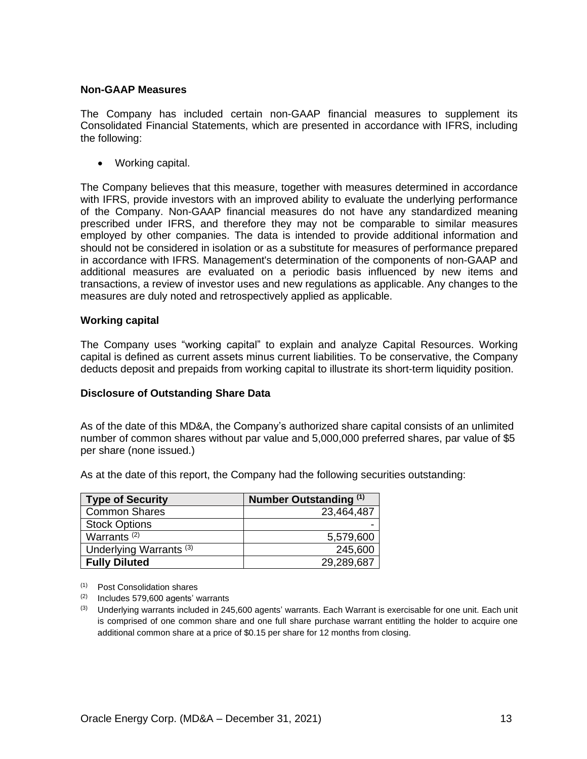## **Non-GAAP Measures**

The Company has included certain non-GAAP financial measures to supplement its Consolidated Financial Statements, which are presented in accordance with IFRS, including the following:

• Working capital.

The Company believes that this measure, together with measures determined in accordance with IFRS, provide investors with an improved ability to evaluate the underlying performance of the Company. Non-GAAP financial measures do not have any standardized meaning prescribed under IFRS, and therefore they may not be comparable to similar measures employed by other companies. The data is intended to provide additional information and should not be considered in isolation or as a substitute for measures of performance prepared in accordance with IFRS. Management's determination of the components of non-GAAP and additional measures are evaluated on a periodic basis influenced by new items and transactions, a review of investor uses and new regulations as applicable. Any changes to the measures are duly noted and retrospectively applied as applicable.

## **Working capital**

The Company uses "working capital" to explain and analyze Capital Resources. Working capital is defined as current assets minus current liabilities. To be conservative, the Company deducts deposit and prepaids from working capital to illustrate its short-term liquidity position.

## **Disclosure of Outstanding Share Data**

As of the date of this MD&A, the Company's authorized share capital consists of an unlimited number of common shares without par value and 5,000,000 preferred shares, par value of \$5 per share (none issued.)

As at the date of this report, the Company had the following securities outstanding:

| <b>Type of Security</b>            | Number Outstanding (1) |
|------------------------------------|------------------------|
| <b>Common Shares</b>               | 23,464,487             |
| <b>Stock Options</b>               |                        |
| Warrants <sup>(2)</sup>            | 5,579,600              |
| Underlying Warrants <sup>(3)</sup> | 245,600                |
| <b>Fully Diluted</b>               | 29,289,687             |

- (1) Post Consolidation shares
- (2) Includes 579,600 agents' warrants
- $(3)$  Underlying warrants included in 245,600 agents' warrants. Each Warrant is exercisable for one unit. Each unit is comprised of one common share and one full share purchase warrant entitling the holder to acquire one additional common share at a price of \$0.15 per share for 12 months from closing.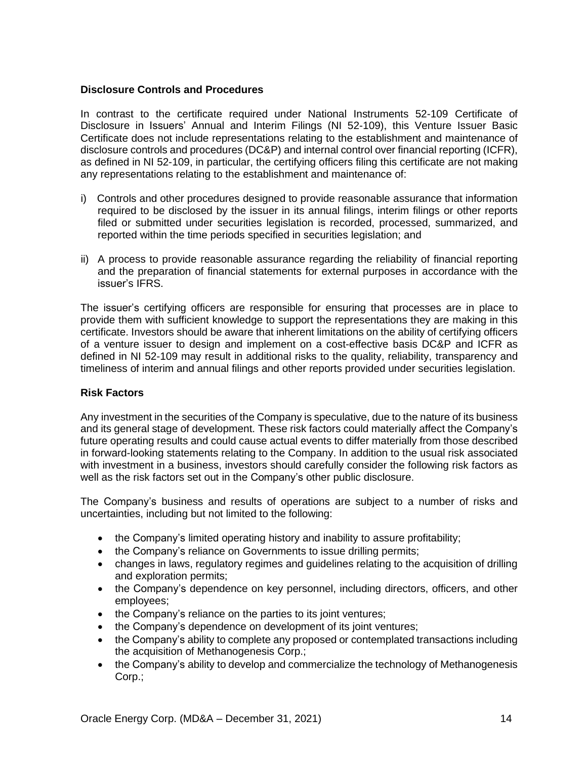## **Disclosure Controls and Procedures**

In contrast to the certificate required under National Instruments 52-109 Certificate of Disclosure in Issuers' Annual and Interim Filings (NI 52-109), this Venture Issuer Basic Certificate does not include representations relating to the establishment and maintenance of disclosure controls and procedures (DC&P) and internal control over financial reporting (ICFR), as defined in NI 52-109, in particular, the certifying officers filing this certificate are not making any representations relating to the establishment and maintenance of:

- i) Controls and other procedures designed to provide reasonable assurance that information required to be disclosed by the issuer in its annual filings, interim filings or other reports filed or submitted under securities legislation is recorded, processed, summarized, and reported within the time periods specified in securities legislation; and
- ii) A process to provide reasonable assurance regarding the reliability of financial reporting and the preparation of financial statements for external purposes in accordance with the issuer's IFRS.

The issuer's certifying officers are responsible for ensuring that processes are in place to provide them with sufficient knowledge to support the representations they are making in this certificate. Investors should be aware that inherent limitations on the ability of certifying officers of a venture issuer to design and implement on a cost-effective basis DC&P and ICFR as defined in NI 52-109 may result in additional risks to the quality, reliability, transparency and timeliness of interim and annual filings and other reports provided under securities legislation.

# **Risk Factors**

Any investment in the securities of the Company is speculative, due to the nature of its business and its general stage of development. These risk factors could materially affect the Company's future operating results and could cause actual events to differ materially from those described in forward-looking statements relating to the Company. In addition to the usual risk associated with investment in a business, investors should carefully consider the following risk factors as well as the risk factors set out in the Company's other public disclosure.

The Company's business and results of operations are subject to a number of risks and uncertainties, including but not limited to the following:

- the Company's limited operating history and inability to assure profitability;
- the Company's reliance on Governments to issue drilling permits;
- changes in laws, regulatory regimes and guidelines relating to the acquisition of drilling and exploration permits;
- the Company's dependence on key personnel, including directors, officers, and other employees;
- the Company's reliance on the parties to its joint ventures;
- the Company's dependence on development of its joint ventures;
- the Company's ability to complete any proposed or contemplated transactions including the acquisition of Methanogenesis Corp.;
- the Company's ability to develop and commercialize the technology of Methanogenesis Corp.;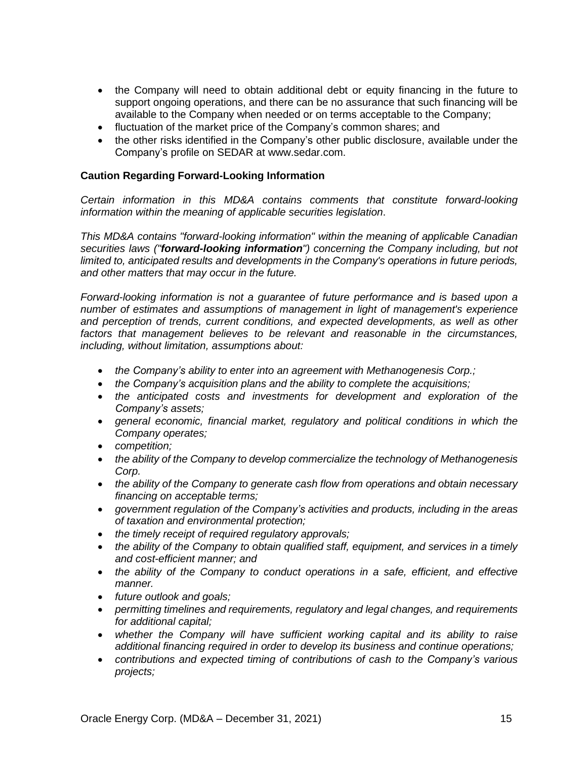- the Company will need to obtain additional debt or equity financing in the future to support ongoing operations, and there can be no assurance that such financing will be available to the Company when needed or on terms acceptable to the Company;
- fluctuation of the market price of the Company's common shares; and
- the other risks identified in the Company's other public disclosure, available under the Company's profile on SEDAR at www.sedar.com.

## **Caution Regarding Forward-Looking Information**

*Certain information in this MD&A contains comments that constitute forward-looking information within the meaning of applicable securities legislation*.

*This MD&A contains "forward-looking information" within the meaning of applicable Canadian securities laws ("forward-looking information") concerning the Company including, but not limited to, anticipated results and developments in the Company's operations in future periods, and other matters that may occur in the future.*

*Forward-looking information is not a guarantee of future performance and is based upon a number of estimates and assumptions of management in light of management's experience and perception of trends, current conditions, and expected developments, as well as other factors that management believes to be relevant and reasonable in the circumstances, including, without limitation, assumptions about:*

- *the Company's ability to enter into an agreement with Methanogenesis Corp.;*
- *the Company's acquisition plans and the ability to complete the acquisitions;*
- *the anticipated costs and investments for development and exploration of the Company's assets;*
- *general economic, financial market, regulatory and political conditions in which the Company operates;*
- *competition;*
- *the ability of the Company to develop commercialize the technology of Methanogenesis Corp.*
- *the ability of the Company to generate cash flow from operations and obtain necessary financing on acceptable terms;*
- *government regulation of the Company's activities and products, including in the areas of taxation and environmental protection;*
- *the timely receipt of required regulatory approvals;*
- *the ability of the Company to obtain qualified staff, equipment, and services in a timely and cost-efficient manner; and*
- *the ability of the Company to conduct operations in a safe, efficient, and effective manner.*
- *future outlook and goals;*
- *permitting timelines and requirements, regulatory and legal changes, and requirements for additional capital;*
- *whether the Company will have sufficient working capital and its ability to raise additional financing required in order to develop its business and continue operations;*
- *contributions and expected timing of contributions of cash to the Company's various projects;*